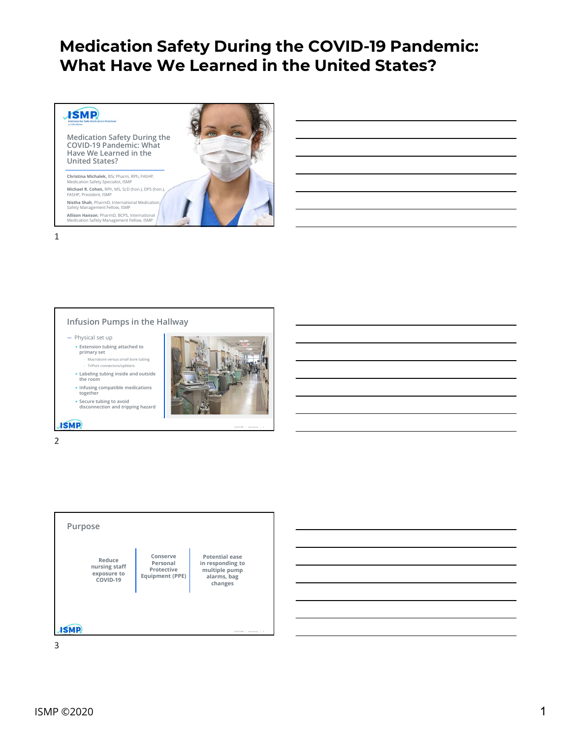

#### Infusion Pumps in the Hallway

— Physical set up

together

• Extension tubing attached to primary set<br>
Macrobore versus small bore tubing<br>
Macrobore versus small bore tubing

◦ TriPort connectors/splitters

• Labeling tubing inside and outside the room • Infusing compatible medications



©2020 ISMP | www.ismp.org | 2

**ISMP** 



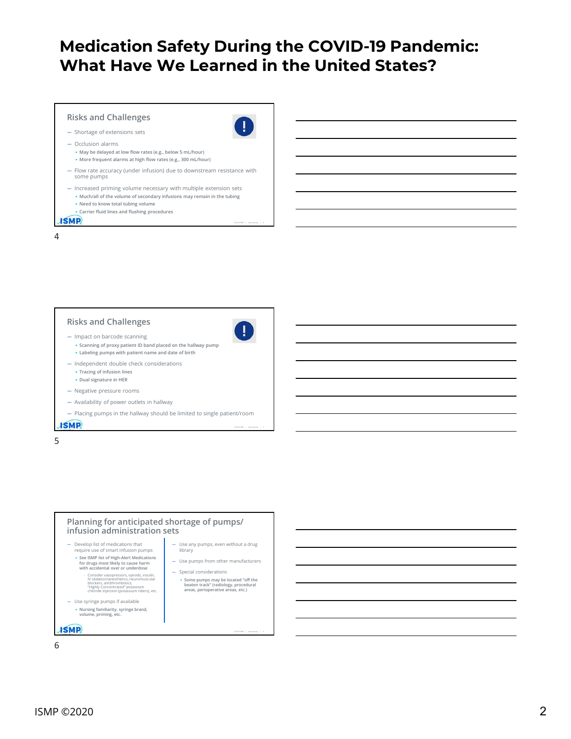# Medication Safety During the COVID-19 Pandemic: What Have We Learned in the United States? **edication Safety During the COVID-19 Pa**<br> **Colume of the volume of secondary in the value of State**<br>
Shortage of extensions sets<br>
Shortage of extensions sets<br>
<sup>1. May</sup>le delayed at low flow rates (e.g., below 5 mul.hour)<br>

©2020 ISMP | www.ismp.org | 4

©2020 ISMP | www.ismp.org | 5

©2020 ISMP | www.ismp.org | 6

### Risks and Challenges

- Shortage of extensions sets
- Occlusion alarms
	- May be delayed at low flow rates (e.g., below 5 mL/hour)
	- More frequent alarms at high flow rates (e.g., 300 mL/hour)
- Flow rate accuracy (under infusion) due to downstream resistance with some pumps
- Increased priming volume necessary with multiple extension sets
	- Need to know total tubing volume
	- Carrier fluid lines and flushing procedures

4

#### Risks and Challenges<br>
– Impact on barcode scapping — Impact on barcode scanning



- Scanning of proxy patient ID band placed on the hallway pump • Labeling pumps with patient name and date of birth
- Independent double check considerations
	- Tracing of infusion lines
	- Dual signature in HER
- Negative pressure rooms
- Availability of power outlets in hallway
- Placing pumps in the hallway should be limited to single patient/room **ISMP**
- $5<sub>5</sub>$

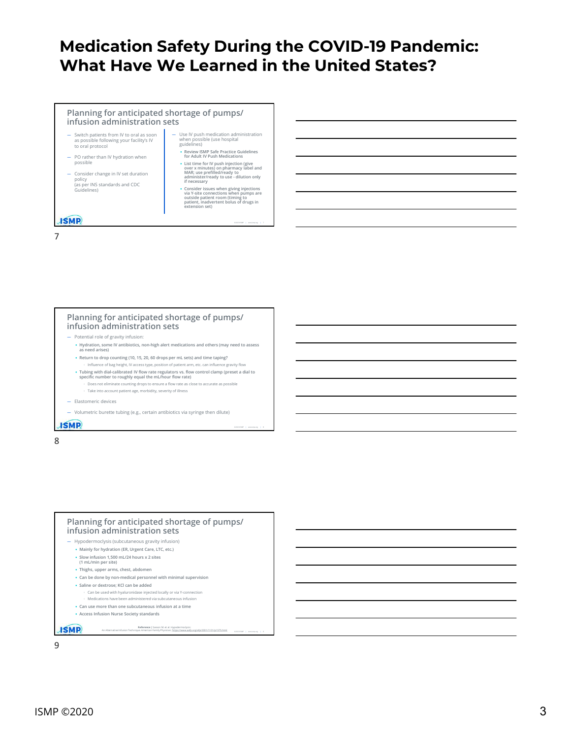# Medication Safety During the COVID-19 Pandemic: What Have We Learned in the United States? Fety During the COVID-19 Pandemic:<br>
Plearned in the United States?<br>
The Maria Covince of pumps/<br>
The MAR; use of pumps/ready to administer only if necessary<br>
The MAR; use of pumps/ready to administer only if necessary<br>
The

• Review ISMP Safe Practice Guidelines for Adult IV Push Medications

• Consider issues when giving injections via Y-site connections when pumps are outside patient room (timing to patient, inadvertent bolus of drugs in extension set)

©2020 ISMP | www.ismp.org | 7

©2020 ISMP | www.ismp.org | 8

©2020 ISMP | www.ismp.org | 9

#### Planning for anticipated shortage of pumps/ infusion administration sets

- Switch patients from IV to oral as soon  $-$  Use IV push medication administration<br>as possible following your facility's IV when possible (use hospital<br>to oral profocol as possible following your facility's IV to oral protocol
- PO rather than IV hydration when possible **business and the set of the set of the set of the set of the set of the set of the set of the set of the set of the set of the set of the set of the set of the set of the set of the set of the set of the set of t**
- Consider change in IV set duration **Example 2** MAR; use prefilled/ready to the set of the set of the set of the set of the set of the set of the set of the set of the set of the set of the set of the set of the set of th policy<br>(as per INS standards and CDC in the life necessary<br>
if necessary Switch patients from IV to oral as soon<br>
as possible conditions and protocol<br>
to oral protocol<br>
Suidelines)<br>
PO rather than IV hydration when<br> **EXECUTE:**<br>
PO rather than IV hydration when<br> **EXECUTE:**<br>
Suidelines<br>
Consider

7

# Planning for anticipated shortage of pumps/ infusion administration sets ⇒ Carenter of the more account particular content and content age of the more account to the more account particular content and the more account to the more account particular content and the more account particular co

- Potential role of gravity infusion:
- Hydration, some IV antibiotics, non-high alert medications and others (may need to assess as need arises)
- Return to drop counting (10, 15, 20, 60 drops per mL sets) and time taping? Influence of bag height, IV access type, position of patient arm, etc. can influence gravity flow
- Tubing with dial-calibrated IV flow rate regulators vs. flow control clamp (preset a dial to specific number to roughly equal the mL/hour flow rate) Does not eliminate counting drops to ensure a flow rate as close to accurate as pos
- 
- 
- 

8 and 2010 and 2010 and 2010 and 2010 and 2010 and 2010 and 2010 and 2010 and 2010 and 2010 and 2010 and 2010



#### — Hypodermoclysis (subcutaneous gravity infusion)

- Mainly for hydration (ER, Urgent Care, LTC, etc.)
- Slow infusion 1,500 mL/24 hours x 2 sites (1 mL/min per site)
- Thighs, upper arms, chest, abdomen
- Can be done by non-medical personnel with minimal supervision
- Saline or dextrose; KCl can be added
- Can be used with hyaluronidase injected locally or via Y-connection ◦ Medications have been administered via subcutaneous infusion
- Can use more than one subcutaneous infusion at a time
- Access Infusion Nurse Society standards

**ISMP**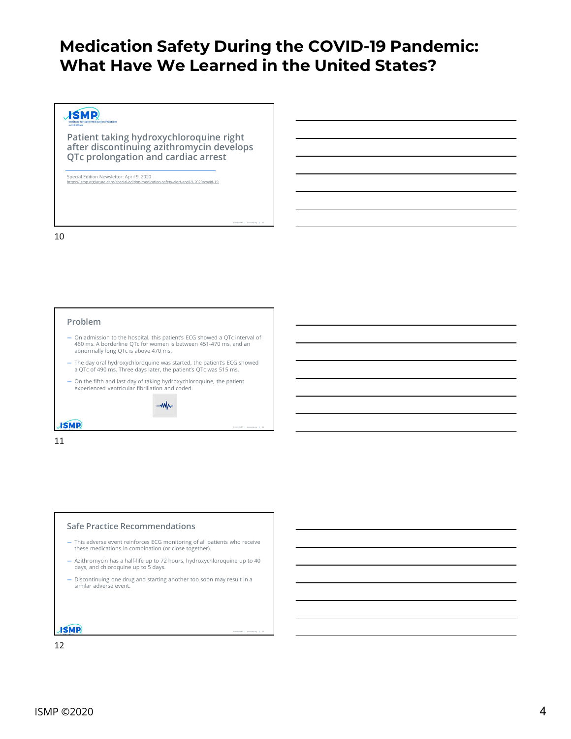## Medication Safety During the COVID-19 Pandemic: What Have We Learned in the United States? **Aedication Safety During the COVID-19 F**<br>What Have We Learned in the United State<br>And the United State of the United State of the Conduction of the United State<br>After discontinuing azithromycin develops<br>QTc prolongation a **Aedication Safety During the COVID-19**<br>
What Have We Learned in the United St<br>
Patient taking hydroxychloroquine right<br>
Patient taking hydroxychloroquine right<br>
QTc prolongation and cardiac arrest<br>
QTc prolongation and ca

©2020 ISMP | www.ismp.org | 10

©2020 ISMP | www.ismp.org | 11

©2020 ISMP | www.ismp.org | 12

Patient taking hydroxychloroquine right<br>after discontinuing azithromycin develops<br>QTc prolongation and cardiac arrest 460 ms. The example and cardiac arrest to the contribution of the contribution of the contribution of the contribution of the contribution of the contribution of the contribution of the contribution of the contribution of Patient taking hydroxychloroquine right<br>after discontinuing azithromycin develops<br> $QTC$  prolongation and cardiac arrest<br>bisense distinct wester and a constrained and constrained and<br>started started, the patient's ECG showe Patient taking hydroxychloroquine right<br>after discontinuing azith mornicing targets<br> $QTTc$  problems.<br>
Secretation Memorial and last days and last day of the patient of the patient<br>
and ms. A horderine Of to two men is betw

Special Edition Newsletter: April 9, 2020<br>https://ismp.org/acute-care/special-edition-medication-safety-alert-april-9-2020/covid-19

#### 10

#### Problem

- On admission to the hospital, this patient's ECG showed a QTc interval of abnormally long QTc is above 470 ms.
- 
- experienced ventricular fibrillation and coded.



11

#### Safe Practice Recommendations

- This adverse event reinforces ECG monitoring of all patients who receive these medications in combination (or close together).
- Azithromycin has a half-life up to 72 hours, hydroxychloroquine up to 40 days, and chloroquine up to 5 days.
- Discontinuing one drug and starting another too soon may result in a similar adverse event.

**ISMP**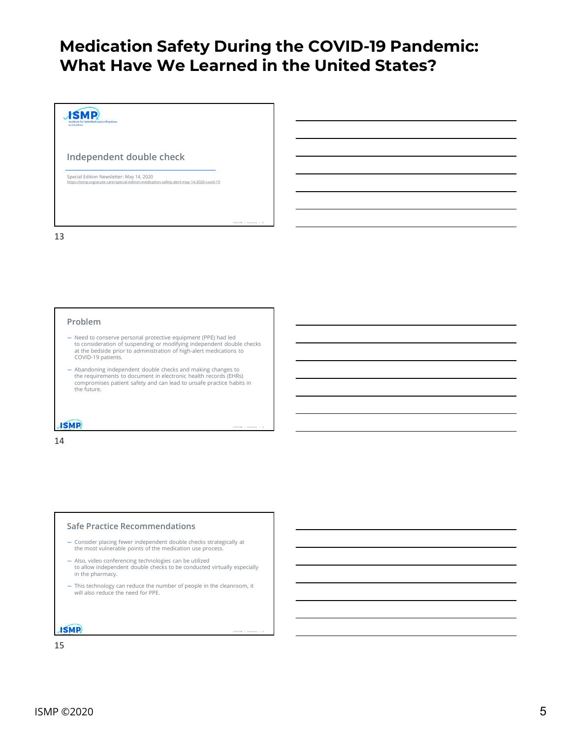©2020 ISMP | www.ismp.org | 14

©2020 ISMP | www.ismp.org | 15



#### Problem

- **Problem**<br>
 Need to conserve personal protective equipment; (PPE) had led<br>
to consider protective or modeling manipulation of high-tattic masketing independent double checks<br>
COVID-19 patients: "as also manipulation of th **Problem**<br>  $\rightarrow$  Need to conserve personal protective equipment (PPE) had led<br>
at no enderstoon on disinguration of high-siert medications to<br>  $\alpha$  - Needs proto conference conference<br>  $\alpha$  - Needs can be understanded and Need to conserve presente intertake requirement (PPF) had list<br>at original to allow the properties of the properties of the check store<br>of the blockled prior to administration of high-silert medications to<br>the check of con in the pharmacy can reduce the pharmacy of the number of the number of people in the cleanroom, it is the pharmacy can reduce the number of people in the cleanroom, it is the number of people in the clean reduce the numbe
- 

14

#### Safe Practice Recommendations

- 
- 
- will also reduce the need for PPE.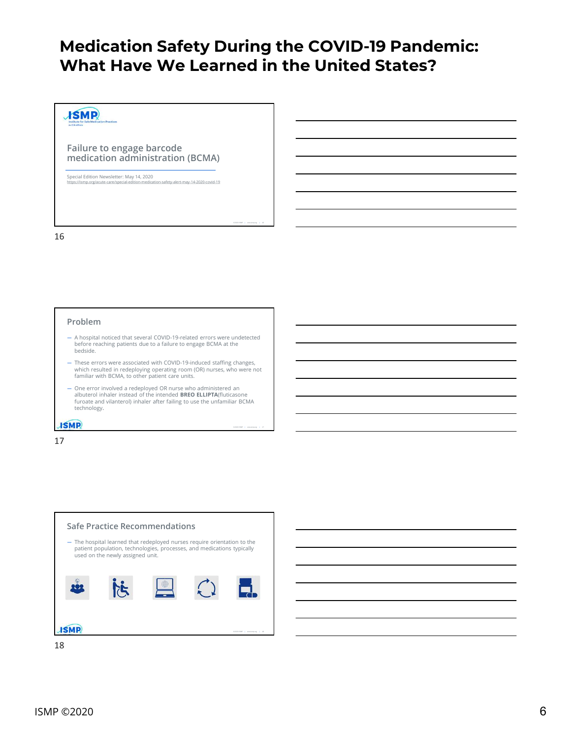©2020 ISMP | www.ismp.org | 16

©2020 ISMP | www.ismp.org | 17

### **JSMP**

Failure to engage barcode<br>medication administration (BCMA)<br>special Edition Newsletter: May 14, 2020<br>https://ismp.org/acute-care/special-edition-medication-safety-alert-may-14-2020-covid-19 medication administration (BCMA)

16

#### Problem

- A hospital noticed that several COVID-19-related errors were undetected before reaching patients due to a failure to engage BCMA at the bedside.
- These errors were associated with COVID-19-induced staffing changes, which resulted in redeploying operating room (OR) nurses, who were not familiar with BCMA, to other patient care units.
- One error involved a redeployed OR nurse who administered an albuterol inhaler instead of the intended BREO ELLIPTA(fluticasone furoate and vilanterol) inhaler after failing to use the unfamiliar BCMA technology.

**ISMP** 



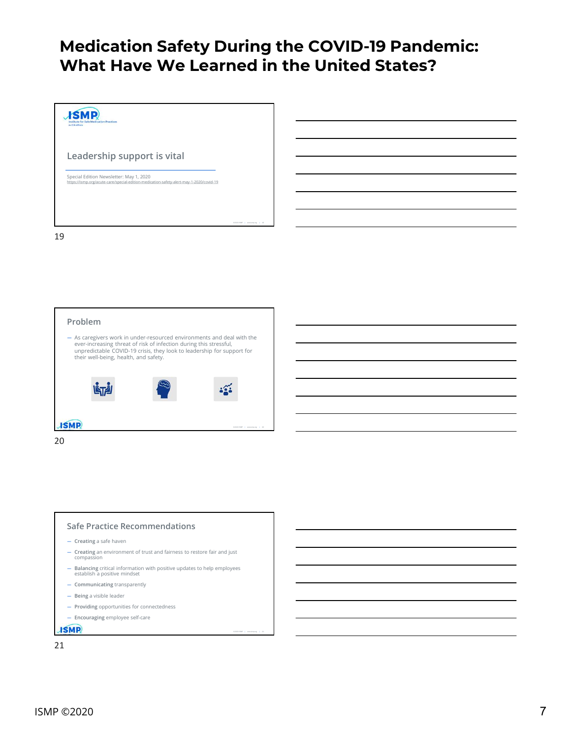©2020 ISMP | www.ismp.org | 21











- Creating a safe haven
- Creating an environment of trust and fairness to restore fair and just compassion
- Balancing critical information with positive updates to help employees
- 
- 
- 
-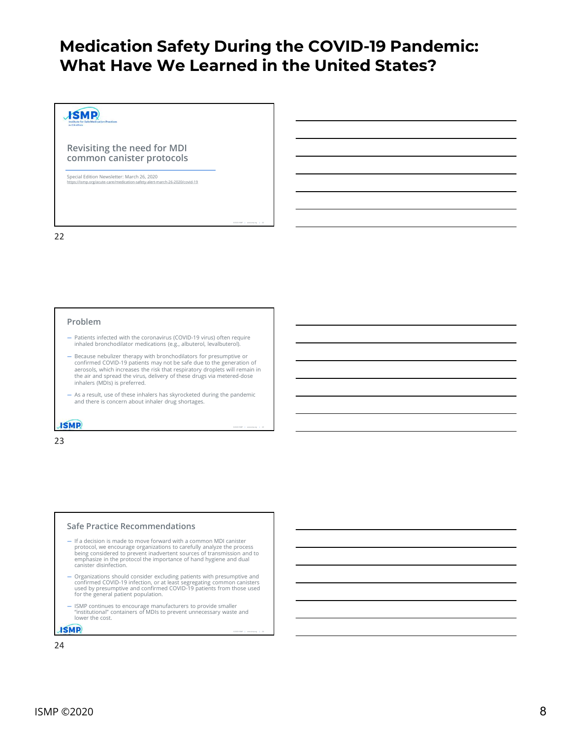©2020 ISMP | www.ismp.org | 22

©2020 ISMP | www.ismp.org | 23

©2020 ISMP | www.ismp.org | 24

### **JSMP**

Revisiting the need for MDI<br>common canister protocols<br>special Edition Newsletter: March 26, 2020<br>https://ismp.org/acute-care/medication-safety-alert-march-26-2020/covid-19 common canister protocols

Special Edition Newsletter: March 26, 2020<br>https://ismp.org/acute-care/medication-safety-alert-march-26-2020/covid-19

#### 22

#### Problem

- Patients infected with the coronavirus (COVID-19 virus) often require inhaled bronchodilator medications (e.g., albuterol, levalbuterol).
- Because nebulizer therapy with bronchodilators for presumptive or confirmed COVID-19 patients may not be safe due to the generation of aerosols, which increases the risk that respiratory droplets will remain in the air and spread the virus, delivery of these drugs via metered-dose inhalers (MDIs) is preferred.
- As a result, use of these inhalers has skyrocketed during the pandemic and there is concern about inhaler drug shortages.

#### **ISMP**

23

#### Safe Practice Recommendations

- If a decision is made to move forward with a common MDI canister protocol, we encourage organizations to carefully analyze the process<br>being considered to prevent inadvertent sources of transmission and to settle and to the protocol the importance<br>emphasize in the protocol the importanc canister disinfection.
- Organizations should consider excluding patients with presumptive and<br>confirmed COVID-19 infection, or at least segregating common canisters<br>used by presumptive and confirmed COVID-19 patients from those used<br>for the gen
- ISMP continues to encourage manufacturers to provide smaller "institutional" containers of MDIs to prevent unnecessary waste and lower the cost.

**ISMP**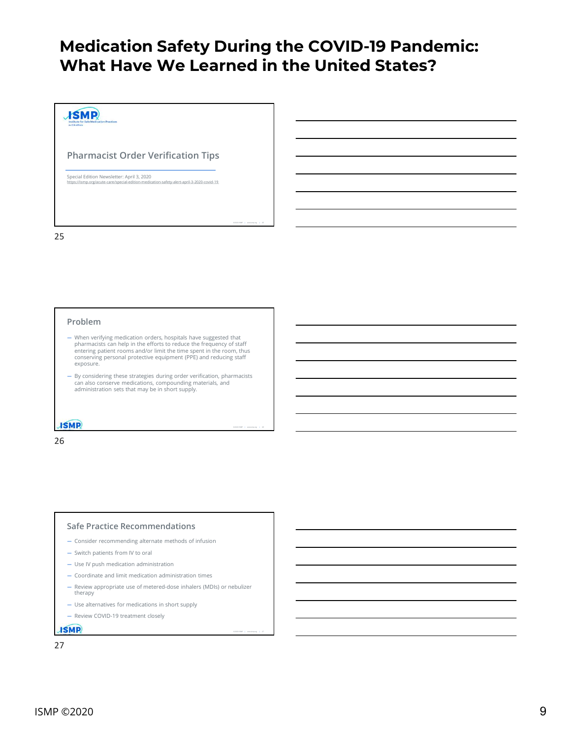©2020 ISMP | www.ismp.org | 26

©2020 ISMP | www.ismp.org | 27



#### Problem

- When verifying medication orders, hospitals have suggested that pharmacists can help in the efforts to reduce the frequency of staff entering patient rooms and/or limit the time spent in the room, thus conserving personal protective equipment (PPE) and reducing staff exposure.
- By considering these strategies during order verification, pharmacists can also conserve medications, compounding materials, and administration sets that may be in short supply.

#### **ISMP**

26

#### Safe Practice Recommendations

- Consider recommending alternate methods of infusion
- Switch patients from IV to oral
- Use IV push medication administration
- Coordinate and limit medication administration times
- Review appropriate use of metered-dose inhalers (MDIs) or nebulizer therapy
- Use alternatives for medications in short supply
- Review COVID-19 treatment closely

**ISMP**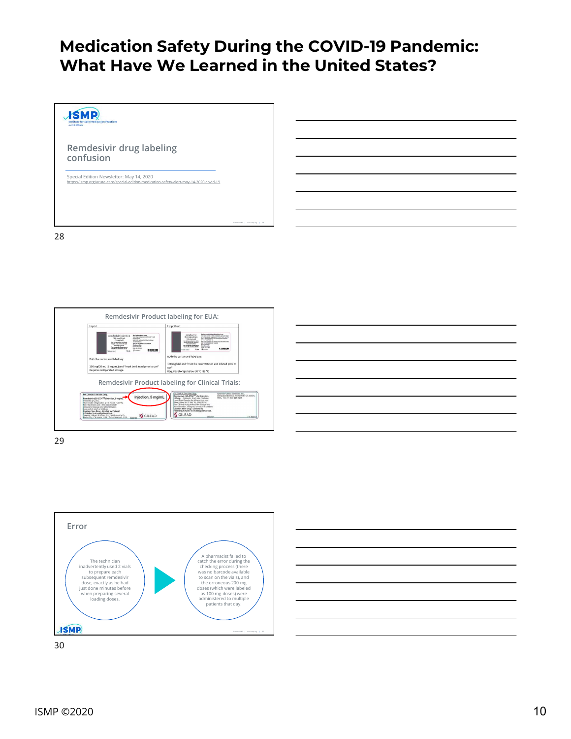

Remdesivir Product labeling for EUA: Liquid Lyophilized **Retire reconstrated and district poer forms.**<br>Therbelos (cf. (as Y), alternations and calculate show)<br>goes adventures between an effect at the charm Type of advertising<br>poer adventures of event at whips and lengerates **DESTREA** (5 mg/cm)<br>for trouverous Use Only<br>for trouverous Use Only<br>formal Decision<br>for was ander Emergency<br>the Authorization (EEA) Setzby<br>OKON Internity adventures<br>and attention<br>standard for Newton Berlin<br>Standard for<br>International Research  $0.0000$ 1,000,00 th the carton and label say **Loth the** ton and label car 100 mg/vial and "must be reconstitute<br>use"<br>Requires storage below 30 °C (86 °F)  $100 mg/20 mL (5 mg/mL) and "must be diluted prior to use" Requires refrigerated storage.$ Remdesivir Product labeling for Clinical Trials: For Clinical Trial Use Only<br>**Remdesivir (GS-5734<sup>193</sup>) for Injection**,<br>**NO mg** Conflettic Each Vial Contains<br>**Ayophized Powder for Infrarenous use**<br>Slove Dirical study protocol for desiage and<br>Slove Dirical study protocol Spornor: Glead Sciences, Inc., 200<br>300 Lakeside Drive, Foster City, CA 94404,<br>USA: Tet.: +1 800 445 3235 For Clinical Trial Use Only<br>Residents IOC 4734<sup>TM</sup> Injection, 5 mg/mL Remdeshir (GS-5734<sup>7M</sup>) Injection, 5 mg/ml<br>Contents: 21.2 mL<br>Sone under refrigeration, 2 – 8 °C (30 = 46 °F)<br>For introvences use, See clinical study<br>protocol for dosage and administration. tion, 5 mg/ml on<br>ge and<br>a chamm Administrator, Keep<br>Caudion: New Orag<br>Federal (USA) law is refoxed to dough and substitutions<br>Computed resumed of changes<br>Computed resumed changes and reformal<br>Substitutions and the computed of the computer of the changes of the changes of the changes of the CILEAD<br>Substitution (C inistration. Keep out of reach a<br>tion: New Drug - Limited by<br>rral (USA) law to investigatio



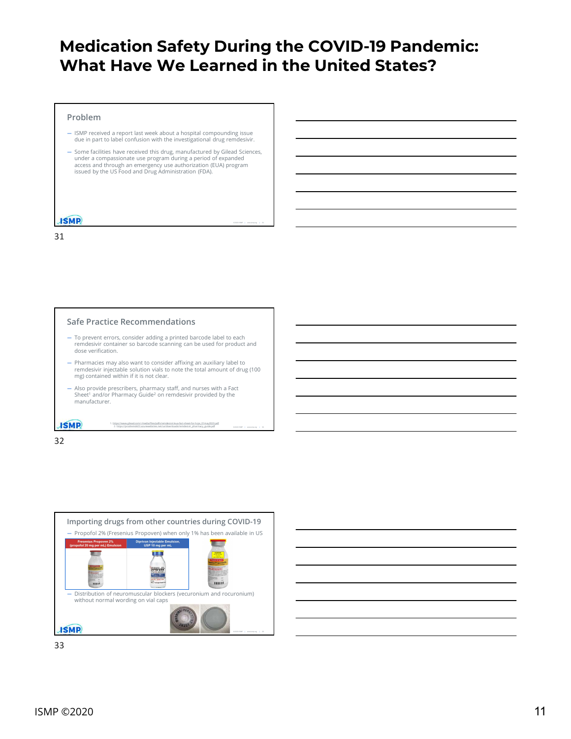©2020 ISMP | www.ismp.org | 31

©2020 ISMP | www.ismp.org | 32

#### Problem

- ISMP received a report last week about a hospital compounding issue due in part to label confusion with the investigational drug remdesivir.
- Some facilities have received this drug, manufactured by Gilead Sciences,<br>under a compassionate use program during a period of expanded<br>access and through an emergency use authorization (EUA) program issued by the US Food and Drug Administration (FDA).

31

#### Safe Practice Recommendations

- To prevent errors, consider adding a printed barcode label to each dose verification.
- **remde so the model of the model of the model of the model of the model of the product and the product and the model of the model of the model of the model of the model of the used for product and the used for product and** — Pharmacies may also want to consider affixing an auxiliary label to remeters a report isst week about a hospital componenting issue<br>
Solution part to label confusion with the investigational drug remdestive.<br>
Some dichilities have received this drug manufactured by Gieal Sciences,<br>
second mg) contained within if it is not clear. - Interesting has energies to the control metallic material provides a strength of the state of the staff, and nurses with a Factor of the state of the staff staff, and the staff state of the staff of the staff of the sta and the comparison of the comparison of the properties of the properties of the comparison of the comparison of the comparison of the comparison of the comparison of the comparison of the comparison of the comparison of th
- Also provide prescribers, pharmacy staff, and nurses with a Fact<br>Sheet<sup>1</sup> and/or Pharmacy Guide<sup>2</sup> on remdesivir provided by the<br>manufacturer. manufacturer.<br>1. https://www.gilead.com/-/media/files/pdfs/remdesivir/eua-fact-sheet-for-hcps\_01may2020.pdf<br>1. https://www.gilead.com/-/media/files/pdfs/remdesivir/eua-fact-sheet-for-hcps\_01may2020.pdf

1. https://www.gilead.com/-/media/files/pdfs/remdesivir/eua-fact-sheet-for-hcps\_01may2020.pdf<br>2. https://prodremds03.azurewebsites.net/us/downloads/remdesivir\_pharmacy\_guide.pdf

32